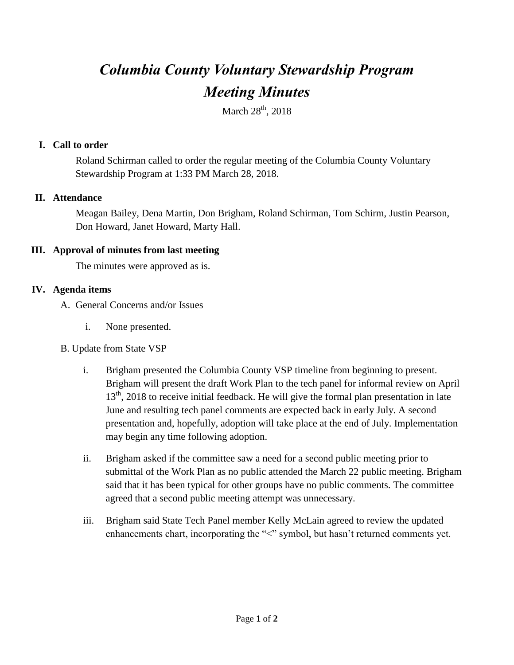# *Columbia County Voluntary Stewardship Program Meeting Minutes*

March  $28<sup>th</sup>$ , 2018

#### **I. Call to order**

Roland Schirman called to order the regular meeting of the Columbia County Voluntary Stewardship Program at 1:33 PM March 28, 2018.

### **II. Attendance**

Meagan Bailey, Dena Martin, Don Brigham, Roland Schirman, Tom Schirm, Justin Pearson, Don Howard, Janet Howard, Marty Hall.

### **III. Approval of minutes from last meeting**

The minutes were approved as is.

## **IV. Agenda items**

- A. General Concerns and/or Issues
	- i. None presented.

## B. Update from State VSP

- i. Brigham presented the Columbia County VSP timeline from beginning to present. Brigham will present the draft Work Plan to the tech panel for informal review on April  $13<sup>th</sup>$ , 2018 to receive initial feedback. He will give the formal plan presentation in late June and resulting tech panel comments are expected back in early July. A second presentation and, hopefully, adoption will take place at the end of July. Implementation may begin any time following adoption.
- ii. Brigham asked if the committee saw a need for a second public meeting prior to submittal of the Work Plan as no public attended the March 22 public meeting. Brigham said that it has been typical for other groups have no public comments. The committee agreed that a second public meeting attempt was unnecessary.
- iii. Brigham said State Tech Panel member Kelly McLain agreed to review the updated enhancements chart, incorporating the "<" symbol, but hasn't returned comments yet.